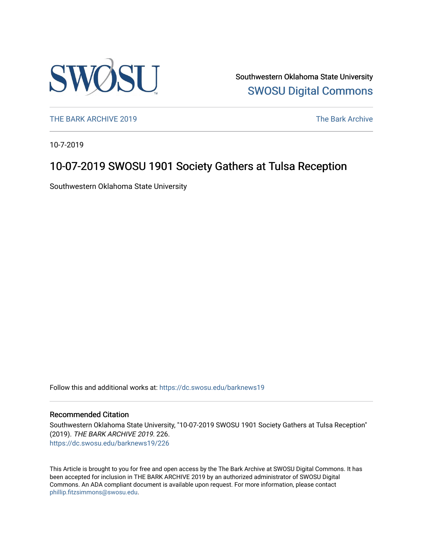

Southwestern Oklahoma State University [SWOSU Digital Commons](https://dc.swosu.edu/) 

[THE BARK ARCHIVE 2019](https://dc.swosu.edu/barknews19) The Bark Archive

10-7-2019

## 10-07-2019 SWOSU 1901 Society Gathers at Tulsa Reception

Southwestern Oklahoma State University

Follow this and additional works at: [https://dc.swosu.edu/barknews19](https://dc.swosu.edu/barknews19?utm_source=dc.swosu.edu%2Fbarknews19%2F226&utm_medium=PDF&utm_campaign=PDFCoverPages)

#### Recommended Citation

Southwestern Oklahoma State University, "10-07-2019 SWOSU 1901 Society Gathers at Tulsa Reception" (2019). THE BARK ARCHIVE 2019. 226. [https://dc.swosu.edu/barknews19/226](https://dc.swosu.edu/barknews19/226?utm_source=dc.swosu.edu%2Fbarknews19%2F226&utm_medium=PDF&utm_campaign=PDFCoverPages)

This Article is brought to you for free and open access by the The Bark Archive at SWOSU Digital Commons. It has been accepted for inclusion in THE BARK ARCHIVE 2019 by an authorized administrator of SWOSU Digital Commons. An ADA compliant document is available upon request. For more information, please contact [phillip.fitzsimmons@swosu.edu](mailto:phillip.fitzsimmons@swosu.edu).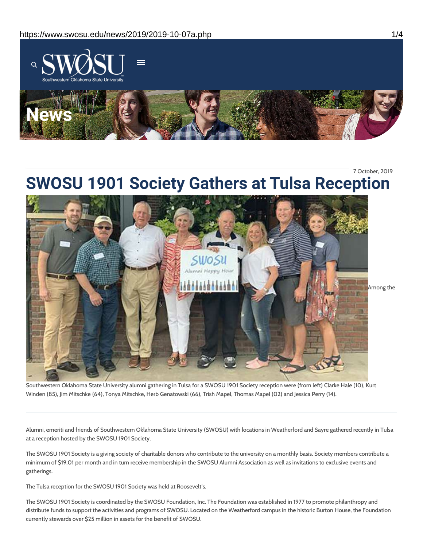

7 October, 2019

# **SWOSU 1901 Society Gathers at Tulsa Reception**



Southwestern Oklahoma State University alumni gathering in Tulsa for a SWOSU 1901 Society reception were (from left) Clarke Hale (10), Kurt Winden (85), Jim Mitschke (64), Tonya Mitschke, Herb Genatowski (66), Trish Mapel, Thomas Mapel (02) and Jessica Perry (14).

Alumni, emeriti and friends of Southwestern Oklahoma State University (SWOSU) with locations in Weatherford and Sayre gathered recently in Tulsa at a reception hosted by the SWOSU 1901 Society.

The SWOSU 1901 Society is a giving society of charitable donors who contribute to the university on a monthly basis. Society members contribute a minimum of \$19.01 per month and in turn receive membership in the SWOSU Alumni Association as well as invitations to exclusive events and gatherings.

The Tulsa reception for the SWOSU 1901 Society was held at Roosevelt's.

The SWOSU 1901 Society is coordinated by the SWOSU Foundation, Inc. The Foundation was established in 1977 to promote philanthropy and distribute funds to support the activities and programs of SWOSU. Located on the Weatherford campus in the historic Burton House, the Foundation currently stewards over \$25 million in assets for the benefit of SWOSU.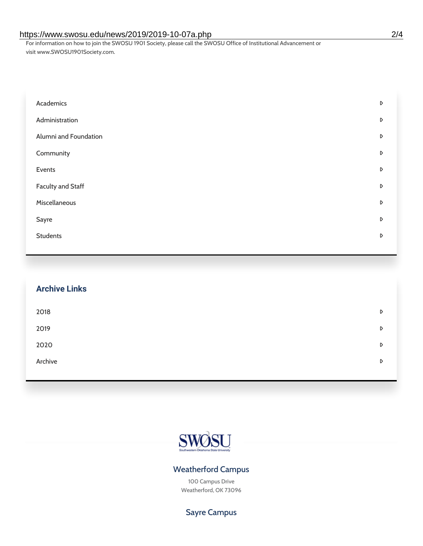#### https://www.swosu.edu/news/2019/2019-10-07a.php 2/4

For information on how to join the SWOSU 1901 Society, please call the SWOSU Office of Institutional Advancement or visit www.SWOSU1901Society.com.

| Academics                | D |
|--------------------------|---|
| Administration           | D |
| Alumni and Foundation    | D |
| Community                | D |
| Events                   | D |
| <b>Faculty and Staff</b> | D |
| Miscellaneous            | D |
| Sayre                    | D |
| <b>Students</b>          | D |

| <b>Archive Links</b> |   |
|----------------------|---|
| 2018                 | D |
| 2019                 | D |
| 2020                 | D |
| Archive              | D |



#### Weatherford Campus

100 Campus Drive Weatherford, OK 73096

### Sayre Campus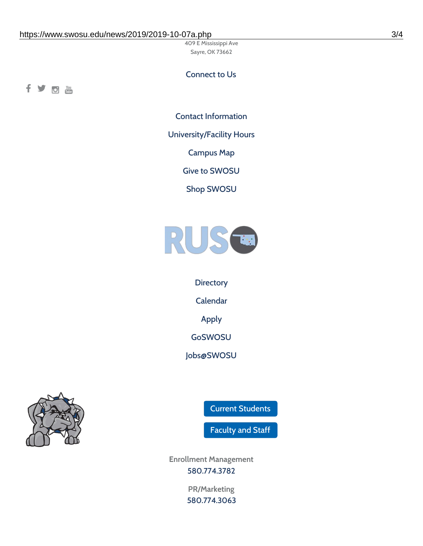409 E Mississippi Ave Sayre, OK 73662

#### Connect to Us

fyom

Contact [Information](https://www.swosu.edu/about/contact.php)

[University/Facility](https://www.swosu.edu/about/operating-hours.php) Hours

[Campus](https://map.concept3d.com/?id=768#!ct/10964,10214,10213,10212,10205,10204,10203,10202,10136,10129,10128,0,31226,10130,10201,10641,0) Map

Give to [SWOSU](https://standingfirmly.com/donate)

Shop [SWOSU](https://shopswosu.merchorders.com/)



**[Directory](https://www.swosu.edu/directory/index.php)** [Calendar](https://eventpublisher.dudesolutions.com/swosu/) [Apply](https://www.swosu.edu/admissions/apply-to-swosu.php) [GoSWOSU](https://qlsso.quicklaunchsso.com/home/1267) [Jobs@SWOSU](https://swosu.csod.com/ux/ats/careersite/1/home?c=swosu)



Current [Students](https://bulldog.swosu.edu/index.php)

[Faculty](https://bulldog.swosu.edu/faculty-staff/index.php) and Staff

**Enrollment Management** [580.774.3782](tel:5807743782)

> **PR/Marketing** [580.774.3063](tel:5807743063)